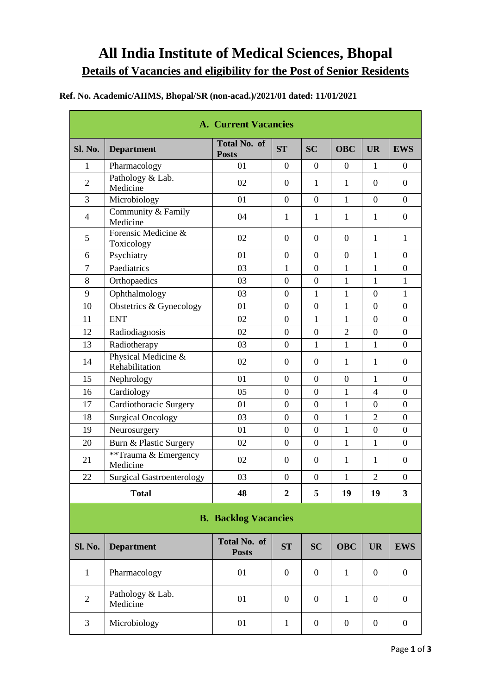# **All India Institute of Medical Sciences, Bhopal Details of Vacancies and eligibility for the Post of Senior Residents**

## **Ref. No. Academic/AIIMS, Bhopal/SR (non-acad.)/2021/01 dated: 11/01/2021**

| <b>A. Current Vacancies</b> |                                       |                                     |                  |                  |                |                  |                         |  |
|-----------------------------|---------------------------------------|-------------------------------------|------------------|------------------|----------------|------------------|-------------------------|--|
| <b>Sl. No.</b>              | <b>Department</b>                     | <b>Total No. of</b><br><b>Posts</b> | ST               | <b>SC</b>        | <b>OBC</b>     | <b>UR</b>        | <b>EWS</b>              |  |
| 1                           | Pharmacology                          | 01                                  | $\overline{0}$   | $\overline{0}$   | $\overline{0}$ | $\mathbf{1}$     | $\overline{0}$          |  |
| $\overline{2}$              | Pathology & Lab.<br>Medicine          | 02                                  | $\theta$         | $\mathbf{1}$     | $\mathbf{1}$   | $\Omega$         | $\overline{0}$          |  |
| $\overline{3}$              | Microbiology                          | 01                                  | $\overline{0}$   | $\overline{0}$   | 1              | $\theta$         | $\theta$                |  |
| $\overline{4}$              | Community & Family<br>Medicine        | 04                                  | $\mathbf{1}$     | 1                | $\mathbf{1}$   | $\mathbf{1}$     | $\overline{0}$          |  |
| 5                           | Forensic Medicine &<br>Toxicology     | 02                                  | $\overline{0}$   | $\Omega$         | $\overline{0}$ | $\mathbf{1}$     | $\mathbf{1}$            |  |
| 6                           | Psychiatry                            | 01                                  | $\overline{0}$   | $\overline{0}$   | $\overline{0}$ | $\mathbf{1}$     | $\Omega$                |  |
| $\overline{7}$              | Paediatrics                           | 03                                  | 1                | $\overline{0}$   | $\mathbf{1}$   | $\mathbf{1}$     | $\overline{0}$          |  |
| 8                           | Orthopaedics                          | 03                                  | $\boldsymbol{0}$ | $\mathbf{0}$     | $\mathbf{1}$   | $\mathbf{1}$     | $\mathbf{1}$            |  |
| 9                           | Ophthalmology                         | 03                                  | $\overline{0}$   | $\mathbf{1}$     | $\mathbf{1}$   | $\overline{0}$   | $\mathbf{1}$            |  |
| 10                          | Obstetrics & Gynecology               | 01                                  | $\overline{0}$   | $\overline{0}$   | 1              | $\Omega$         | $\overline{0}$          |  |
| 11                          | <b>ENT</b>                            | 02                                  | $\overline{0}$   | $\mathbf{1}$     | $\mathbf{1}$   | $\overline{0}$   | $\theta$                |  |
| 12                          | Radiodiagnosis                        | 02                                  | $\overline{0}$   | $\overline{0}$   | $\overline{2}$ | $\theta$         | $\theta$                |  |
| 13                          | Radiotherapy                          | 03                                  | $\overline{0}$   | $\mathbf{1}$     | $\mathbf{1}$   | $\mathbf{1}$     | $\Omega$                |  |
| 14                          | Physical Medicine &<br>Rehabilitation | 02                                  | $\boldsymbol{0}$ | $\mathbf{0}$     | $\mathbf{1}$   | $\mathbf{1}$     | $\Omega$                |  |
| 15                          | Nephrology                            | 01                                  | $\theta$         | $\boldsymbol{0}$ | $\theta$       | $\mathbf{1}$     | $\theta$                |  |
| 16                          | Cardiology                            | 05                                  | $\overline{0}$   | $\overline{0}$   | $\mathbf{1}$   | $\overline{4}$   | $\overline{0}$          |  |
| 17                          | Cardiothoracic Surgery                | 01                                  | $\boldsymbol{0}$ | $\mathbf{0}$     | $\mathbf{1}$   | $\boldsymbol{0}$ | $\boldsymbol{0}$        |  |
| 18                          | <b>Surgical Oncology</b>              | 03                                  | $\boldsymbol{0}$ | $\mathbf{0}$     | $\mathbf{1}$   | $\overline{2}$   | $\overline{0}$          |  |
| 19                          | Neurosurgery                          | 01                                  | $\boldsymbol{0}$ | $\overline{0}$   | $\mathbf{1}$   | $\overline{0}$   | $\overline{0}$          |  |
| 20                          | Burn & Plastic Surgery                | 02                                  | $\boldsymbol{0}$ | $\mathbf{0}$     | $\mathbf{1}$   | $\mathbf{1}$     | $\overline{0}$          |  |
| 21                          | **Trauma & Emergency<br>Medicine      | 02                                  | $\boldsymbol{0}$ | $\boldsymbol{0}$ | $\mathbf{1}$   | $\mathbf{1}$     | $\overline{0}$          |  |
| 22                          | <b>Surgical Gastroenterology</b>      | 03                                  | $\overline{0}$   | $\overline{0}$   | $\mathbf{1}$   | $\overline{2}$   | $\overline{0}$          |  |
| <b>Total</b>                |                                       | 48                                  | $\overline{2}$   | 5                | 19             | 19               | $\overline{\mathbf{3}}$ |  |

### **B. Backlog Vacancies**

| <b>Sl. No.</b> | <b>Department</b>            | <b>Total No. of</b><br><b>Posts</b> | <b>ST</b> | <b>SC</b> | <b>OBC</b> | <b>UR</b> | <b>EWS</b> |
|----------------|------------------------------|-------------------------------------|-----------|-----------|------------|-----------|------------|
|                | Pharmacology                 | 01                                  | $\theta$  | 0         |            |           |            |
| $\overline{2}$ | Pathology & Lab.<br>Medicine | 01                                  | $\theta$  | $\theta$  |            |           |            |
| 3              | Microbiology                 | 01                                  |           | 0         | 0          |           |            |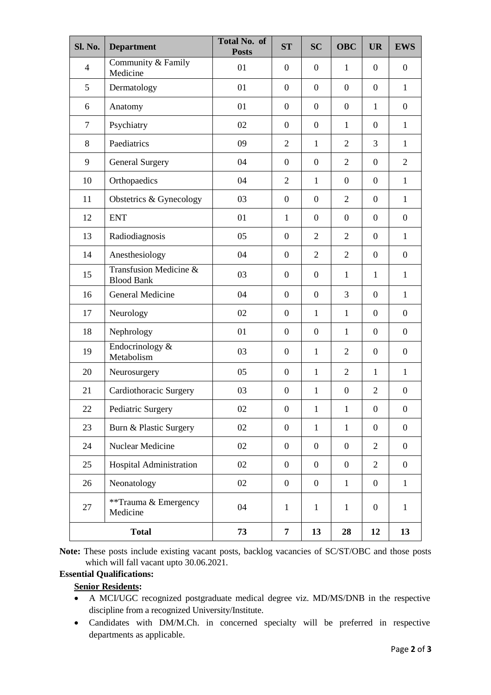| <b>Sl. No.</b> | <b>Department</b>                           | Total No. of<br><b>Posts</b> | <b>ST</b>        | <b>SC</b>        | <b>OBC</b>       | <b>UR</b>        | <b>EWS</b>       |
|----------------|---------------------------------------------|------------------------------|------------------|------------------|------------------|------------------|------------------|
| $\overline{4}$ | Community & Family<br>Medicine              | 01                           | $\overline{0}$   | $\overline{0}$   | $\mathbf{1}$     | $\theta$         | $\overline{0}$   |
| 5              | Dermatology                                 | 01                           | $\boldsymbol{0}$ | $\boldsymbol{0}$ | $\overline{0}$   | $\overline{0}$   | $\mathbf{1}$     |
| 6              | Anatomy                                     | 01                           | $\boldsymbol{0}$ | $\boldsymbol{0}$ | $\overline{0}$   | $\mathbf{1}$     | $\overline{0}$   |
| $\overline{7}$ | Psychiatry                                  | 02                           | $\boldsymbol{0}$ | $\boldsymbol{0}$ | $\mathbf{1}$     | $\theta$         | $\mathbf{1}$     |
| 8              | Paediatrics                                 | 09                           | $\overline{2}$   | $\mathbf{1}$     | $\overline{2}$   | 3                | $\mathbf{1}$     |
| 9              | <b>General Surgery</b>                      | 04                           | $\boldsymbol{0}$ | $\boldsymbol{0}$ | $\overline{2}$   | $\boldsymbol{0}$ | $\overline{2}$   |
| 10             | Orthopaedics                                | 04                           | $\overline{2}$   | $\mathbf{1}$     | $\boldsymbol{0}$ | $\boldsymbol{0}$ | $\mathbf{1}$     |
| 11             | Obstetrics & Gynecology                     | 03                           | $\boldsymbol{0}$ | $\boldsymbol{0}$ | $\overline{2}$   | $\overline{0}$   | $\mathbf{1}$     |
| 12             | <b>ENT</b>                                  | 01                           | 1                | $\boldsymbol{0}$ | $\overline{0}$   | $\overline{0}$   | $\boldsymbol{0}$ |
| 13             | Radiodiagnosis                              | 05                           | $\boldsymbol{0}$ | $\overline{2}$   | $\overline{2}$   | $\overline{0}$   | $\mathbf{1}$     |
| 14             | Anesthesiology                              | 04                           | $\boldsymbol{0}$ | $\overline{2}$   | $\overline{2}$   | $\overline{0}$   | $\boldsymbol{0}$ |
| 15             | Transfusion Medicine &<br><b>Blood Bank</b> | 03                           | $\boldsymbol{0}$ | $\boldsymbol{0}$ | $\mathbf{1}$     | $\mathbf{1}$     | $\mathbf{1}$     |
| 16             | General Medicine                            | 04                           | $\boldsymbol{0}$ | $\overline{0}$   | 3                | $\overline{0}$   | $\mathbf{1}$     |
| 17             | Neurology                                   | 02                           | $\boldsymbol{0}$ | $\mathbf{1}$     | $\mathbf{1}$     | $\overline{0}$   | $\overline{0}$   |
| 18             | Nephrology                                  | 01                           | $\overline{0}$   | $\boldsymbol{0}$ | $\mathbf{1}$     | $\overline{0}$   | $\boldsymbol{0}$ |
| 19             | Endocrinology &<br>Metabolism               | 03                           | $\overline{0}$   | $\mathbf{1}$     | $\overline{2}$   | $\theta$         | $\boldsymbol{0}$ |
| 20             | Neurosurgery                                | 05                           | $\boldsymbol{0}$ | $\mathbf{1}$     | $\overline{2}$   | $\mathbf{1}$     | $\mathbf{1}$     |
| 21             | Cardiothoracic Surgery                      | 03                           | $\overline{0}$   | 1                | $\boldsymbol{0}$ | $\mathfrak{2}$   | $\boldsymbol{0}$ |
| 22             | Pediatric Surgery                           | 02                           | $\boldsymbol{0}$ | $\mathbf{1}$     | $\mathbf{1}$     | $\boldsymbol{0}$ | $\boldsymbol{0}$ |
| 23             | Burn & Plastic Surgery                      | 02                           | $\boldsymbol{0}$ | $\mathbf{1}$     | $\mathbf{1}$     | $\mathbf{0}$     | $\overline{0}$   |
| 24             | Nuclear Medicine                            | 02                           | $\overline{0}$   | $\mathbf{0}$     | $\mathbf{0}$     | 2                | $\overline{0}$   |
| 25             | Hospital Administration                     | 02                           | $\boldsymbol{0}$ | $\mathbf{0}$     | $\mathbf{0}$     | $\overline{2}$   | $\overline{0}$   |
| 26             | Neonatology                                 | 02                           | $\boldsymbol{0}$ | $\boldsymbol{0}$ | $\mathbf{1}$     | $\overline{0}$   | $\mathbf{1}$     |
| 27             | **Trauma & Emergency<br>Medicine            | 04                           | $\mathbf{1}$     | $\mathbf{1}$     | $\mathbf{1}$     | $\overline{0}$   | $\mathbf{1}$     |
| <b>Total</b>   |                                             | 73                           | 7                | 13               | 28               | 12               | 13               |

**Note:** These posts include existing vacant posts, backlog vacancies of SC/ST/OBC and those posts which will fall vacant upto 30.06.2021.

## **Essential Qualifications:**

**Senior Residents:**

- A MCI/UGC recognized postgraduate medical degree viz. MD/MS/DNB in the respective discipline from a recognized University/Institute.
- Candidates with DM/M.Ch. in concerned specialty will be preferred in respective departments as applicable.